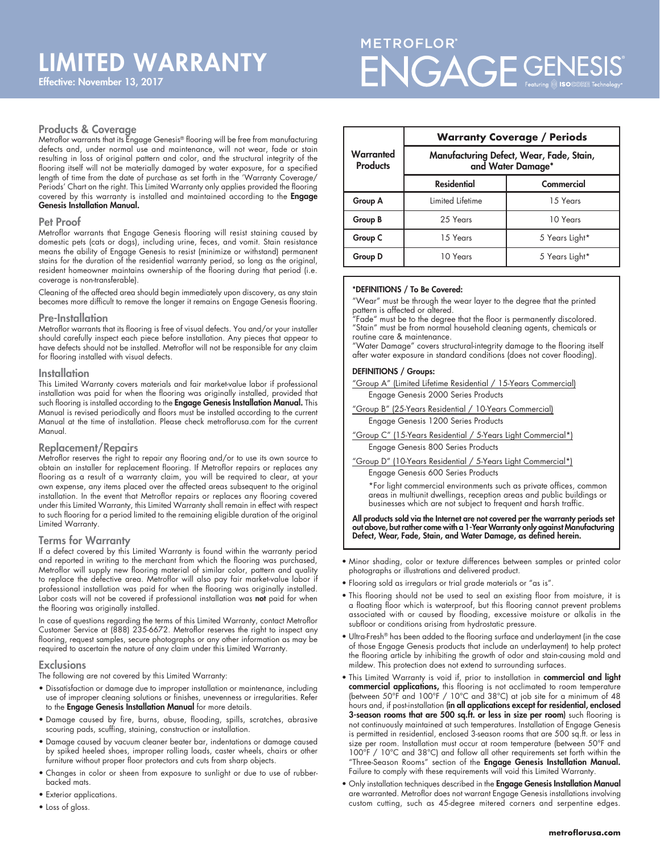# METROFLOR® ENGAGE GENESIS

#### Products & Coverage

Metroflor warrants that its Engage Genesis® flooring will be free from manufacturing defects and, under normal use and maintenance, will not wear, fade or stain resulting in loss of original pattern and color, and the structural integrity of the flooring itself will not be materially damaged by water exposure, for a specified length of time from the date of purchase as set forth in the 'Warranty Coverage/ Periods' Chart on the right. This Limited Warranty only applies provided the flooring covered by this warranty is installed and maintained according to the Engage Genesis Installation Manual.

#### Pet Proof

Metroflor warrants that Engage Genesis flooring will resist staining caused by domestic pets (cats or dogs), including urine, feces, and vomit. Stain resistance means the ability of Engage Genesis to resist (minimize or withstand) permanent stains for the duration of the residential warranty period, so long as the original, resident homeowner maintains ownership of the flooring during that period (i.e. coverage is non-transferable).

Cleaning of the affected area should begin immediately upon discovery, as any stain becomes more difficult to remove the longer it remains on Engage Genesis flooring.

#### Pre-Installation

Metroflor warrants that its flooring is free of visual defects. You and/or your installer should carefully inspect each piece before installation. Any pieces that appear to have defects should not be installed. Metroflor will not be responsible for any claim for flooring installed with visual defects.

#### **Installation**

This Limited Warranty covers materials and fair market-value labor if professional installation was paid for when the flooring was originally installed, provided that such flooring is installed according to the Engage Genesis Installation Manual. This Manual is revised periodically and floors must be installed according to the current Manual at the time of installation. Please check metroflorusa.com for the current Manual.

#### Replacement/Repairs

Metroflor reserves the right to repair any flooring and/or to use its own source to obtain an installer for replacement flooring. If Metroflor repairs or replaces any flooring as a result of a warranty claim, you will be required to clear, at your own expense, any items placed over the affected areas subsequent to the original installation. In the event that Metroflor repairs or replaces any flooring covered under this Limited Warranty, this Limited Warranty shall remain in effect with respect to such flooring for a period limited to the remaining eligible duration of the original Limited Warranty.

#### Terms for Warranty

If a defect covered by this Limited Warranty is found within the warranty period and reported in writing to the merchant from which the flooring was purchased, Metroflor will supply new flooring material of similar color, pattern and quality to replace the defective area. Metroflor will also pay fair market-value labor if professional installation was paid for when the flooring was originally installed. Labor costs will not be covered if professional installation was not paid for when the flooring was originally installed.

In case of questions regarding the terms of this Limited Warranty, contact Metroflor Customer Service at (888) 235-6672. Metroflor reserves the right to inspect any flooring, request samples, secure photographs or any other information as may be required to ascertain the nature of any claim under this Limited Warranty.

#### **Exclusions**

The following are not covered by this Limited Warranty:

- Dissatisfaction or damage due to improper installation or maintenance, including use of improper cleaning solutions or finishes, unevenness or irregularities. Refer to the Engage Genesis Installation Manual for more details.
- Damage caused by fire, burns, abuse, flooding, spills, scratches, abrasive scouring pads, scuffing, staining, construction or installation.
- Damage caused by vacuum cleaner beater bar, indentations or damage caused by spiked heeled shoes, improper rolling loads, caster wheels, chairs or other furniture without proper floor protectors and cuts from sharp objects.
- Changes in color or sheen from exposure to sunlight or due to use of rubberbacked mats.
- Exterior applications.
- Loss of gloss.

|                              | <b>Warranty Coverage / Periods</b>                            |                |
|------------------------------|---------------------------------------------------------------|----------------|
| Warranted<br><b>Products</b> | Manufacturing Defect, Wear, Fade, Stain,<br>and Water Damage* |                |
|                              | <b>Residential</b>                                            | Commercial     |
| Group A                      | Limited Lifetime                                              | 15 Years       |
| Group B                      | 25 Years                                                      | 10 Years       |
| Group C                      | 15 Years                                                      | 5 Years Light* |
| Group D                      | 10 Years                                                      | 5 Years Light* |

#### \*DEFINITIONS / To Be Covered:

"Wear" must be through the wear layer to the degree that the printed pattern is affected or altered.

"Fade" must be to the degree that the floor is permanently discolored. "Stain" must be from normal household cleaning agents, chemicals or routine care & maintenance.

"Water Damage" covers structural-integrity damage to the flooring itself after water exposure in standard conditions (does not cover flooding).

#### DEFINITIONS / Groups:

"Group A" (Limited Lifetime Residential / 15-Years Commercial) Engage Genesis 2000 Series Products

- "Group B" (25-Years Residential / 10-Years Commercial) Engage Genesis 1200 Series Products
- "Group C" (15-Years Residential / 5-Years Light Commercial\*) Engage Genesis 800 Series Products

"Group D" (10-Years Residential / 5-Years Light Commercial\*) Engage Genesis 600 Series Products

 \*For light commercial environments such as private offices, common areas in multiunit dwellings, reception areas and public buildings or businesses which are not subject to frequent and harsh traffic.

All products sold via the Internet are not covered per the warranty periods set out above, but rather come with a 1-Year Warranty only against Manufacturing Defect, Wear, Fade, Stain, and Water Damage, as defined herein.

- Minor shading, color or texture differences between samples or printed color photographs or illustrations and delivered product.
- Flooring sold as irregulars or trial grade materials or "as is".
- This flooring should not be used to seal an existing floor from moisture, it is a floating floor which is waterproof, but this flooring cannot prevent problems associated with or caused by flooding, excessive moisture or alkalis in the subfloor or conditions arising from hydrostatic pressure.
- Ultra-Fresh® has been added to the flooring surface and underlayment (in the case of those Engage Genesis products that include an underlayment) to help protect the flooring article by inhibiting the growth of odor and stain-causing mold and mildew. This protection does not extend to surrounding surfaces.
- · This Limited Warranty is void if, prior to installation in commercial and light commercial applications, this flooring is not acclimated to room temperature (between 50°F and 100°F / 10°C and 38°C) at job site for a minimum of 48 hours and, if post-installation (in all applications except for residential, enclosed 3-season rooms that are 500 sq.ft. or less in size per room) such flooring is not continuously maintained at such temperatures. Installation of Engage Genesis is permitted in residential, enclosed 3-season rooms that are 500 sq.ft. or less in size per room. Installation must occur at room temperature (between 50°F and 100°F / 10°C and 38°C) and follow all other requirements set forth within the "Three-Season Rooms" section of the Engage Genesis Installation Manual. Failure to comply with these requirements will void this Limited Warranty.
- Only installation techniques described in the Engage Genesis Installation Manual are warranted. Metroflor does not warrant Engage Genesis installations involving custom cutting, such as 45-degree mitered corners and serpentine edges.